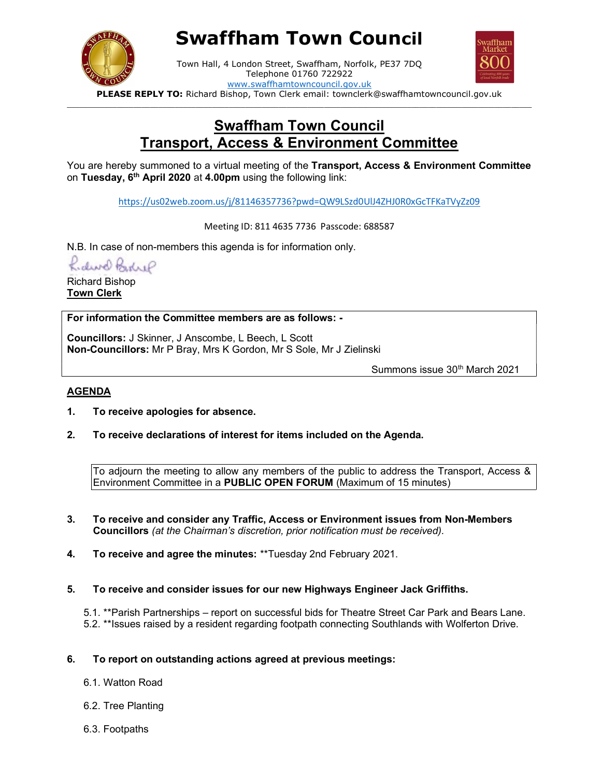

# Swaffham Town Council



Town Hall, 4 London Street, Swaffham, Norfolk, PE37 7DQ Telephone 01760 722922 www.swaffhamtowncouncil.gov.uk

PLEASE REPLY TO: Richard Bishop, Town Clerk email: townclerk@swaffhamtowncouncil.gov.uk  $\Box$ 

## Swaffham Town Council Transport, Access & Environment Committee

You are hereby summoned to a virtual meeting of the Transport, Access & Environment Committee on Tuesday, 6<sup>th</sup> April 2020 at 4.00pm using the following link:

https://us02web.zoom.us/j/81146357736?pwd=QW9LSzd0UlJ4ZHJ0R0xGcTFKaTVyZz09

Meeting ID: 811 4635 7736 Passcode: 688587

N.B. In case of non-members this agenda is for information only.

Kidwel Bohre

Richard Bishop Town Clerk

For information the Committee members are as follows: -

Councillors: J Skinner, J Anscombe, L Beech, L Scott Non-Councillors: Mr P Bray, Mrs K Gordon, Mr S Sole, Mr J Zielinski

Summons issue 30<sup>th</sup> March 2021

### AGENDA

- 1. To receive apologies for absence.
- 2. To receive declarations of interest for items included on the Agenda.

To adjourn the meeting to allow any members of the public to address the Transport, Access & Environment Committee in a PUBLIC OPEN FORUM (Maximum of 15 minutes)

- 3. To receive and consider any Traffic, Access or Environment issues from Non-Members Councillors (at the Chairman's discretion, prior notification must be received).
- 4. To receive and agree the minutes: \*\*Tuesday 2nd February 2021.
- 5. To receive and consider issues for our new Highways Engineer Jack Griffiths.

5.1. \*\*Parish Partnerships – report on successful bids for Theatre Street Car Park and Bears Lane. 5.2. \*\*Issues raised by a resident regarding footpath connecting Southlands with Wolferton Drive.

- 6. To report on outstanding actions agreed at previous meetings:
	- 6.1. Watton Road
	- 6.2. Tree Planting
	- 6.3. Footpaths